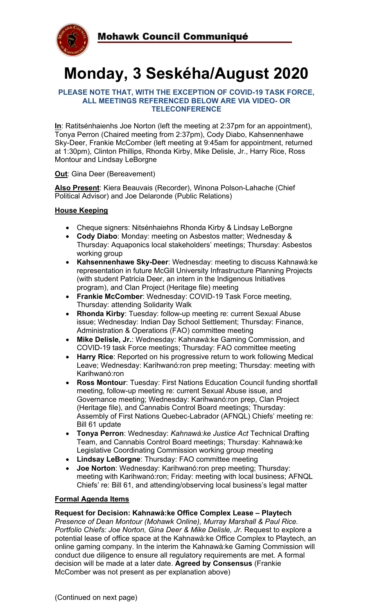

# **Monday, 3 Seskéha/August 2020**

#### **PLEASE NOTE THAT, WITH THE EXCEPTION OF COVID-19 TASK FORCE, ALL MEETINGS REFERENCED BELOW ARE VIA VIDEO- OR TELECONFERENCE**

**In**: Ratitsénhaienhs Joe Norton (left the meeting at 2:37pm for an appointment), Tonya Perron (Chaired meeting from 2:37pm), Cody Diabo, Kahsennenhawe Sky-Deer, Frankie McComber (left meeting at 9:45am for appointment, returned at 1:30pm), Clinton Phillips, Rhonda Kirby, Mike Delisle, Jr., Harry Rice, Ross Montour and Lindsay LeBorgne

#### **Out**: Gina Deer (Bereavement)

**Also Present**: Kiera Beauvais (Recorder), Winona Polson-Lahache (Chief Political Advisor) and Joe Delaronde (Public Relations)

# **House Keeping**

- Cheque signers: Nitsénhaiehns Rhonda Kirby & Lindsay LeBorgne
- **Cody Diabo**: Monday: meeting on Asbestos matter; Wednesday & Thursday: Aquaponics local stakeholders' meetings; Thursday: Asbestos working group
- **Kahsennenhawe Sky-Deer**: Wednesday: meeting to discuss Kahnawà:ke representation in future McGill University Infrastructure Planning Projects (with student Patricia Deer, an intern in the Indigenous Initiatives program), and Clan Project (Heritage file) meeting
- **Frankie McComber**: Wednesday: COVID-19 Task Force meeting, Thursday: attending Solidarity Walk
- **Rhonda Kirby**: Tuesday: follow-up meeting re: current Sexual Abuse issue; Wednesday: Indian Day School Settlement; Thursday: Finance, Administration & Operations (FAO) committee meeting
- **Mike Delisle, Jr.**: Wednesday: Kahnawà:ke Gaming Commission, and COVID-19 task Force meetings; Thursday: FAO committee meeting
- **Harry Rice**: Reported on his progressive return to work following Medical Leave; Wednesday: Karihwanó:ron prep meeting; Thursday: meeting with Karihwanó:ron
- **Ross Montour**: Tuesday: First Nations Education Council funding shortfall meeting, follow-up meeting re: current Sexual Abuse issue, and Governance meeting; Wednesday: Karihwanó:ron prep, Clan Project (Heritage file), and Cannabis Control Board meetings; Thursday: Assembly of First Nations Quebec-Labrador (AFNQL) Chiefs' meeting re: Bill 61 update
- **Tonya Perron**: Wednesday: *Kahnawà:ke Justice Act* Technical Drafting Team, and Cannabis Control Board meetings; Thursday: Kahnawà:ke Legislative Coordinating Commission working group meeting
- **Lindsay LeBorgne**: Thursday: FAO committee meeting
- **Joe Norton**: Wednesday: Karihwanó:ron prep meeting; Thursday: meeting with Karihwanó:ron; Friday: meeting with local business; AFNQL Chiefs' re: Bill 61, and attending/observing local business's legal matter

#### **Formal Agenda Items**

#### **Request for Decision: Kahnawà:ke Office Complex Lease – Playtech**

*Presence of Dean Montour (Mohawk Online), Murray Marshall & Paul Rice. Portfolio Chiefs: Joe Norton, Gina Deer & Mike Delisle, Jr.* Request to explore a potential lease of office space at the Kahnawà:ke Office Complex to Playtech, an online gaming company. In the interim the Kahnawà:ke Gaming Commission will conduct due diligence to ensure all regulatory requirements are met. A formal decision will be made at a later date. **Agreed by Consensus** (Frankie McComber was not present as per explanation above)